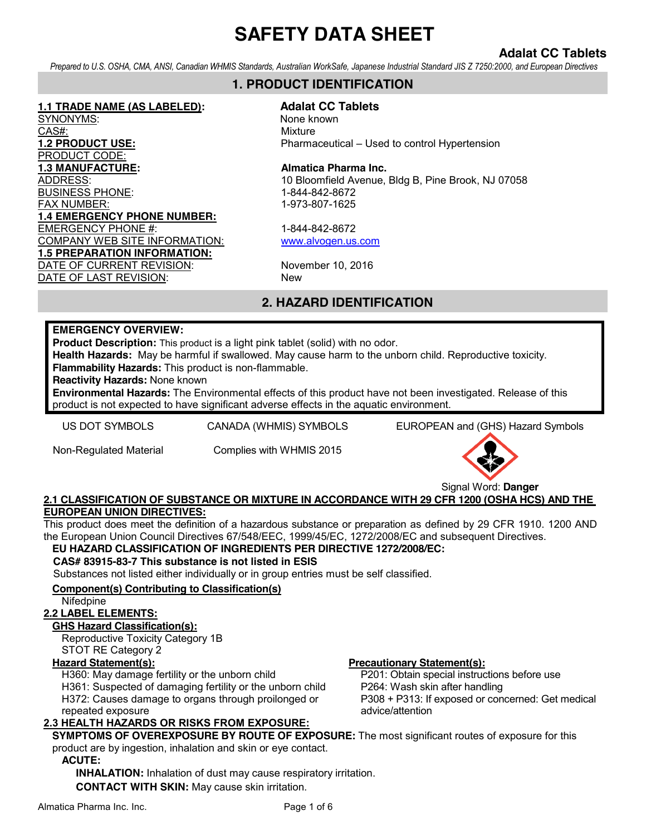## **Adalat CC Tablets**

*Prepared to U.S. OSHA, CMA, ANSI, Canadian WHMIS Standards, Australian WorkSafe, Japanese Industrial Standard JIS Z 7250:2000, and European Directives*

#### **1. PRODUCT IDENTIFICATION**

**1.1 TRADE NAME (AS LABELED): Adalat CC Tablets** SYNONYMS: None known CAS#: Wixture PRODUCT CODE: **1.3 MANUFACTURE:** Almatica Pharma Inc. BUSINESS PHONE: 1-844-842-8672 FAX NUMBER: 1-973-807-1625 **1.4 EMERGENCY PHONE NUMBER:** EMERGENCY PHONE #: 1-844-842-8672 COMPANY WEB SITE INFORMATION: www.alvogen.us.com **1.5 PREPARATION INFORMATION:** DATE OF CURRENT REVISION: November 10, 2016 DATE OF LAST REVISION: New

**1.2 PRODUCT USE:** Pharmaceutical – Used to control Hypertension

# ADDRESS: 10 Bloomfield Avenue, Bldg B, Pine Brook, NJ 07058

## **2. HAZARD IDENTIFICATION**

#### **EMERGENCY OVERVIEW:**

**Product Description:** This product is a light pink tablet (solid) with no odor.

**Health Hazards:** May be harmful if swallowed. May cause harm to the unborn child. Reproductive toxicity. **Flammability Hazards:** This product is non-flammable.

**Reactivity Hazards:** None known

**Environmental Hazards:** The Environmental effects of this product have not been investigated. Release of this product is not expected to have significant adverse effects in the aquatic environment.

US DOT SYMBOLS CANADA (WHMIS) SYMBOLS EUROPEAN and (GHS) Hazard Symbols

Non-Regulated Material Complies with WHMIS 2015



#### **2.1 CLASSIFICATION OF SUBSTANCE OR MIXTURE IN ACCORDANCE WITH 29 CFR 1200 (OSHA HCS) AND THE EUROPEAN UNION DIRECTIVES:**

This product does meet the definition of a hazardous substance or preparation as defined by 29 CFR 1910. 1200 AND the European Union Council Directives 67/548/EEC, 1999/45/EC, 1272/2008/EC and subsequent Directives.

#### **EU HAZARD CLASSIFICATION OF INGREDIENTS PER DIRECTIVE 1272/2008/EC:**

#### **CAS# 83915-83-7 This substance is not listed in ESIS**

Substances not listed either individually or in group entries must be self classified.

#### **Component(s) Contributing to Classification(s)**

#### Nifedpine

#### **2.2 LABEL ELEMENTS:**

#### **GHS Hazard Classification(s):**

Reproductive Toxicity Category 1B STOT RE Category 2

H360: May damage fertility or the unborn child

H361: Suspected of damaging fertility or the unborn child H372: Causes damage to organs through proilonged or repeated exposure

#### **2.3 HEALTH HAZARDS OR RISKS FROM EXPOSURE:**

#### **Hazard Statement(s): Precautionary Statement(s):**

P201: Obtain special instructions before use P264: Wash skin after handling P308 + P313: If exposed or concerned: Get medical advice/attention

**SYMPTOMS OF OVEREXPOSURE BY ROUTE OF EXPOSURE:** The most significant routes of exposure for this product are by ingestion, inhalation and skin or eye contact.

#### **ACUTE:**

**INHALATION:** Inhalation of dust may cause respiratory irritation. **CONTACT WITH SKIN:** May cause skin irritation.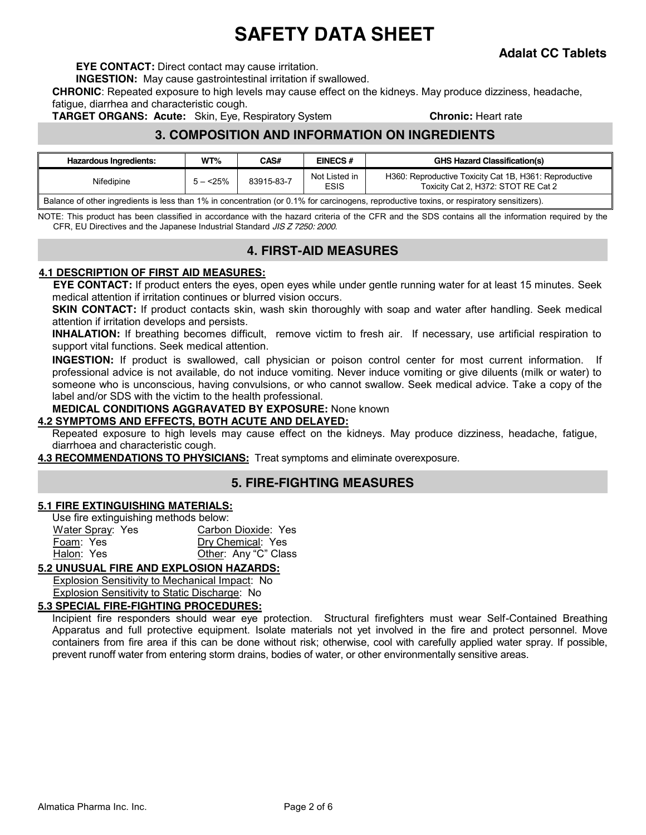**Adalat CC Tablets** 

**EYE CONTACT:** Direct contact may cause irritation.

**INGESTION:** May cause gastrointestinal irritation if swallowed.

**CHRONIC**: Repeated exposure to high levels may cause effect on the kidneys. May produce dizziness, headache, fatigue, diarrhea and characteristic cough.

**TARGET ORGANS: Acute:** Skin, Eye, Respiratory System **Chronic: Heart rate** 

#### **3. COMPOSITION AND INFORMATION ON INGREDIENTS**

| Hazardous Ingredients:                                                                                                                    | WT%        | <b>CAS#</b> | <b>EINECS#</b>               | <b>GHS Hazard Classification(s)</b>                                                           |  |  |
|-------------------------------------------------------------------------------------------------------------------------------------------|------------|-------------|------------------------------|-----------------------------------------------------------------------------------------------|--|--|
| Nifedipine                                                                                                                                | $5 - 25\%$ | 83915-83-7  | Not Listed in<br><b>ESIS</b> | H360: Reproductive Toxicity Cat 1B, H361: Reproductive<br>Toxicity Cat 2, H372: STOT RE Cat 2 |  |  |
| Balance of other ingredients is less than 1% in concentration (or 0.1% for carcinogens, reproductive toxins, or respiratory sensitizers). |            |             |                              |                                                                                               |  |  |

NOTE: This product has been classified in accordance with the hazard criteria of the CFR and the SDS contains all the information required by the CFR, EU Directives and the Japanese Industrial Standard *JIS Z 7250: 2000*.

#### **4. FIRST-AID MEASURES**

#### **4.1 DESCRIPTION OF FIRST AID MEASURES:**

**EYE CONTACT:** If product enters the eyes, open eyes while under gentle running water for at least 15 minutes. Seek medical attention if irritation continues or blurred vision occurs.

**SKIN CONTACT:** If product contacts skin, wash skin thoroughly with soap and water after handling. Seek medical attention if irritation develops and persists.

**INHALATION:** If breathing becomes difficult, remove victim to fresh air. If necessary, use artificial respiration to support vital functions. Seek medical attention.

**INGESTION:** If product is swallowed, call physician or poison control center for most current information. If professional advice is not available, do not induce vomiting. Never induce vomiting or give diluents (milk or water) to someone who is unconscious, having convulsions, or who cannot swallow. Seek medical advice. Take a copy of the label and/or SDS with the victim to the health professional.

#### **MEDICAL CONDITIONS AGGRAVATED BY EXPOSURE:** None known

#### **4.2 SYMPTOMS AND EFFECTS, BOTH ACUTE AND DELAYED:**

Repeated exposure to high levels may cause effect on the kidneys. May produce dizziness, headache, fatigue, diarrhoea and characteristic cough.

**4.3 RECOMMENDATIONS TO PHYSICIANS:** Treat symptoms and eliminate overexposure.

#### **5. FIRE-FIGHTING MEASURES**

#### **5.1 FIRE EXTINGUISHING MATERIALS:**

| Use fire extinguishing methods below: |                      |
|---------------------------------------|----------------------|
| Water Spray: Yes                      | Carbon Dioxide: Yes  |
| Foam: Yes                             | Dry Chemical: Yes    |
| Halon: Yes                            | Other: Any "C" Class |

#### **5.2 UNUSUAL FIRE AND EXPLOSION HAZARDS:**

Explosion Sensitivity to Mechanical Impact: No Explosion Sensitivity to Static Discharge: No

#### **5.3 SPECIAL FIRE-FIGHTING PROCEDURES:**

Incipient fire responders should wear eye protection. Structural firefighters must wear Self-Contained Breathing Apparatus and full protective equipment. Isolate materials not yet involved in the fire and protect personnel. Move containers from fire area if this can be done without risk; otherwise, cool with carefully applied water spray. If possible, prevent runoff water from entering storm drains, bodies of water, or other environmentally sensitive areas.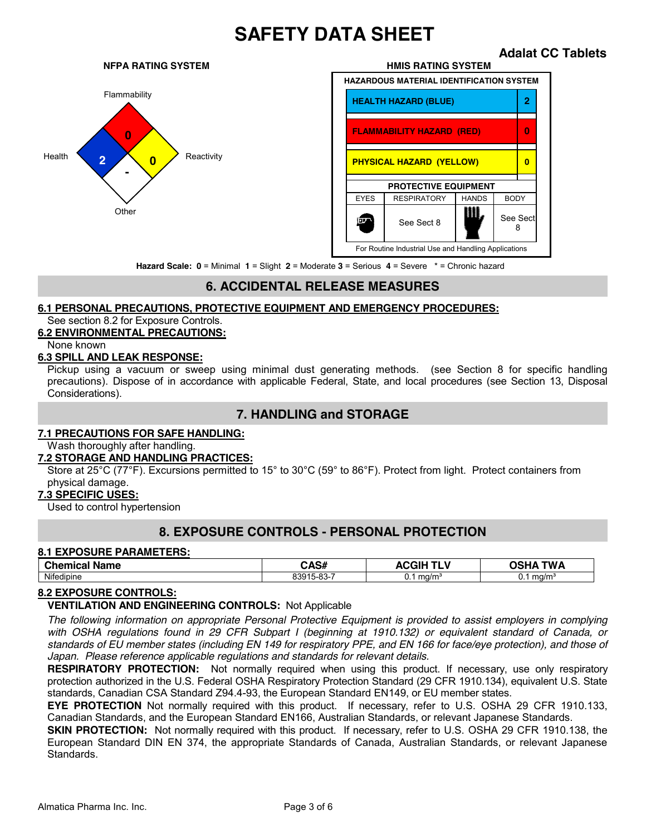# **Other <sup>0</sup> - 0 2**

#### **NFPA RATING SYSTEM HMIS RATING SYSTEM**

 **Adalat CC Tablets** 



**Hazard Scale: 0** = Minimal **1** = Slight **2** = Moderate **3** = Serious **4** = Severe \* = Chronic hazard

## **6. ACCIDENTAL RELEASE MEASURES**

#### **6.1 PERSONAL PRECAUTIONS, PROTECTIVE EQUIPMENT AND EMERGENCY PROCEDURES:**

See section 8.2 for Exposure Controls.

#### **6.2 ENVIRONMENTAL PRECAUTIONS:**

#### None known

#### **6.3 SPILL AND LEAK RESPONSE:**

Pickup using a vacuum or sweep using minimal dust generating methods. (see Section 8 for specific handling precautions). Dispose of in accordance with applicable Federal, State, and local procedures (see Section 13, Disposal Considerations).

#### **7. HANDLING and STORAGE**

#### **7.1 PRECAUTIONS FOR SAFE HANDLING:**

Wash thoroughly after handling.

#### **7.2 STORAGE AND HANDLING PRACTICES:**

Store at 25°C (77°F). Excursions permitted to 15° to 30°C (59° to 86°F). Protect from light. Protect containers from physical damage.

#### **7.3 SPECIFIC USES:**

Used to control hypertension

#### **8. EXPOSURE CONTROLS - PERSONAL PROTECTION**

#### **8.1 EXPOSURE PARAMETERS:**

| <b>Chemical</b><br>Name | $\lambda$ A $\sim$ $\mu$<br>ייטרי | .<br>--- - -<br>- 11<br>$\mathbf{v}$ | TW Δ       |
|-------------------------|-----------------------------------|--------------------------------------|------------|
| Nifedipine              | ົດຕ<br>. .<br>839<br>. .<br>-บน   | ma/m <sup>3</sup><br>v.              | ma/m<br>v. |

#### **8.2 EXPOSURE CONTROLS:**

#### **VENTILATION AND ENGINEERING CONTROLS:** Not Applicable

*The following information on appropriate Personal Protective Equipment is provided to assist employers in complying with OSHA regulations found in 29 CFR Subpart I (beginning at 1910.132) or equivalent standard of Canada, or standards of EU member states (including EN 149 for respiratory PPE, and EN 166 for face/eye protection), and those of Japan. Please reference applicable regulations and standards for relevant details.*

**RESPIRATORY PROTECTION:** Not normally required when using this product. If necessary, use only respiratory protection authorized in the U.S. Federal OSHA Respiratory Protection Standard (29 CFR 1910.134), equivalent U.S. State standards, Canadian CSA Standard Z94.4-93, the European Standard EN149, or EU member states.

**EYE PROTECTION** Not normally required with this product. If necessary, refer to U.S. OSHA 29 CFR 1910.133, Canadian Standards, and the European Standard EN166, Australian Standards, or relevant Japanese Standards.

**SKIN PROTECTION:** Not normally required with this product. If necessary, refer to U.S. OSHA 29 CFR 1910.138, the European Standard DIN EN 374, the appropriate Standards of Canada, Australian Standards, or relevant Japanese Standards.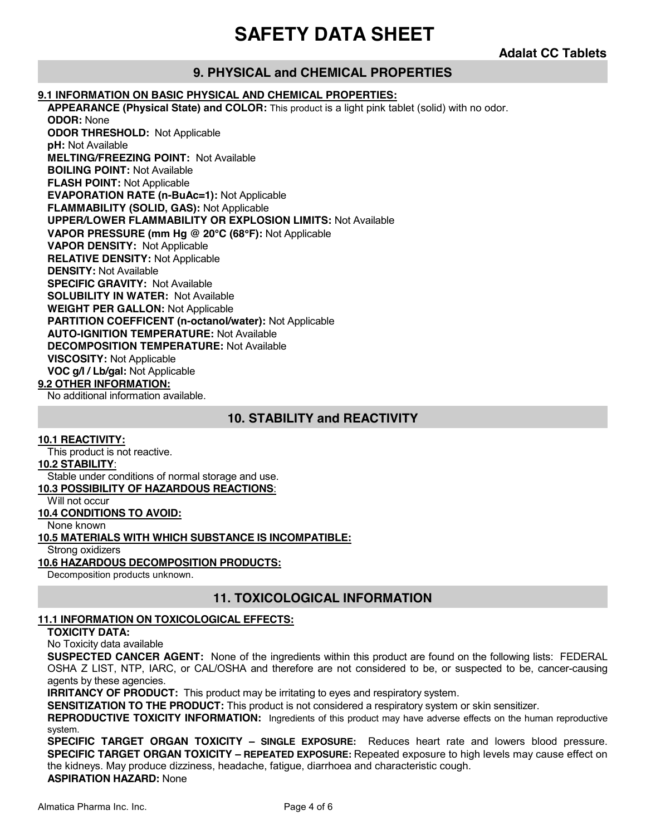**Adalat CC Tablets** 

## **9. PHYSICAL and CHEMICAL PROPERTIES**

#### **9.1 INFORMATION ON BASIC PHYSICAL AND CHEMICAL PROPERTIES:**

**APPEARANCE (Physical State) and COLOR:** This product is a light pink tablet (solid) with no odor. **ODOR:** None **ODOR THRESHOLD:** Not Applicable **pH:** Not Available **MELTING/FREEZING POINT:** Not Available **BOILING POINT:** Not Available **FLASH POINT:** Not Applicable **EVAPORATION RATE (n-BuAc=1):** Not Applicable **FLAMMABILITY (SOLID, GAS):** Not Applicable **UPPER/LOWER FLAMMABILITY OR EXPLOSION LIMITS:** Not Available **VAPOR PRESSURE (mm Hg @ 20°C (68°F):** Not Applicable **VAPOR DENSITY:** Not Applicable **RELATIVE DENSITY:** Not Applicable **DENSITY:** Not Available **SPECIFIC GRAVITY:** Not Available **SOLUBILITY IN WATER:** Not Available **WEIGHT PER GALLON:** Not Applicable **PARTITION COEFFICENT (n-octanol/water):** Not Applicable **AUTO-IGNITION TEMPERATURE:** Not Available **DECOMPOSITION TEMPERATURE:** Not Available **VISCOSITY:** Not Applicable **VOC g/l / Lb/gal:** Not Applicable **9.2 OTHER INFORMATION:** No additional information available.

#### **10. STABILITY and REACTIVITY**

**10.1 REACTIVITY:** This product is not reactive. **10.2 STABILITY**: Stable under conditions of normal storage and use. **10.3 POSSIBILITY OF HAZARDOUS REACTIONS**: Will not occur **10.4 CONDITIONS TO AVOID:** None known **10.5 MATERIALS WITH WHICH SUBSTANCE IS INCOMPATIBLE:** Strong oxidizers **10.6 HAZARDOUS DECOMPOSITION PRODUCTS:**

Decomposition products unknown.

#### **11. TOXICOLOGICAL INFORMATION**

#### **11.1 INFORMATION ON TOXICOLOGICAL EFFECTS:**

#### **TOXICITY DATA:**

No Toxicity data available

**SUSPECTED CANCER AGENT:** None of the ingredients within this product are found on the following lists: FEDERAL OSHA Z LIST, NTP, IARC, or CAL/OSHA and therefore are not considered to be, or suspected to be, cancer-causing agents by these agencies.

**IRRITANCY OF PRODUCT:** This product may be irritating to eyes and respiratory system.

**SENSITIZATION TO THE PRODUCT:** This product is not considered a respiratory system or skin sensitizer.

**REPRODUCTIVE TOXICITY INFORMATION:** Ingredients of this product may have adverse effects on the human reproductive system.

**SPECIFIC TARGET ORGAN TOXICITY – SINGLE EXPOSURE:** Reduces heart rate and lowers blood pressure. **SPECIFIC TARGET ORGAN TOXICITY – REPEATED EXPOSURE:** Repeated exposure to high levels may cause effect on the kidneys. May produce dizziness, headache, fatigue, diarrhoea and characteristic cough.

**ASPIRATION HAZARD:** None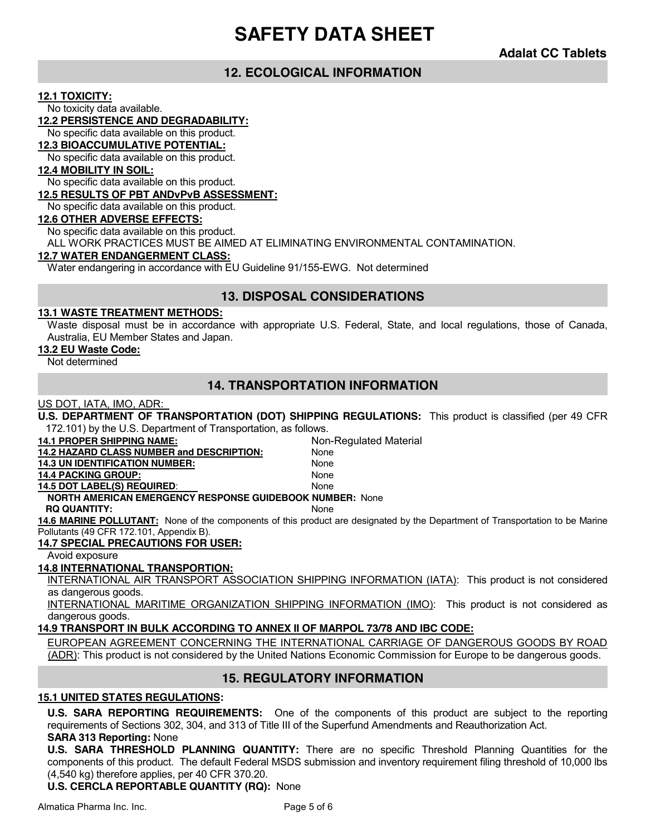**Adalat CC Tablets** 

#### **12. ECOLOGICAL INFORMATION**

#### **12.1 TOXICITY:**

No toxicity data available.

#### **12.2 PERSISTENCE AND DEGRADABILITY:**

No specific data available on this product.

#### **12.3 BIOACCUMULATIVE POTENTIAL:**

No specific data available on this product.

#### **12.4 MOBILITY IN SOIL:**

No specific data available on this product.

#### **12.5 RESULTS OF PBT ANDvPvB ASSESSMENT:**

No specific data available on this product.

#### **12.6 OTHER ADVERSE EFFECTS:**

No specific data available on this product.

ALL WORK PRACTICES MUST BE AIMED AT ELIMINATING ENVIRONMENTAL CONTAMINATION.

#### **12.7 WATER ENDANGERMENT CLASS:**

Water endangering in accordance with EU Guideline 91/155-EWG. Not determined

#### **13. DISPOSAL CONSIDERATIONS**

#### **13.1 WASTE TREATMENT METHODS:**

Waste disposal must be in accordance with appropriate U.S. Federal, State, and local regulations, those of Canada, Australia, EU Member States and Japan.

#### **13.2 EU Waste Code:**

Not determined

#### **14. TRANSPORTATION INFORMATION**

#### US DOT, IATA, IMO, ADR:

**U.S. DEPARTMENT OF TRANSPORTATION (DOT) SHIPPING REGULATIONS:** This product is classified (per 49 CFR 172.101) by the U.S. Department of Transportation, as follows.

| <b>14.1 PROPER SHIPPING NAME:</b>                               | Non-Regulated Material                                                                                                               |
|-----------------------------------------------------------------|--------------------------------------------------------------------------------------------------------------------------------------|
| <b>14.2 HAZARD CLASS NUMBER and DESCRIPTION:</b>                | None                                                                                                                                 |
| <b>14.3 UN IDENTIFICATION NUMBER:</b>                           | None                                                                                                                                 |
| <b>14.4 PACKING GROUP:</b>                                      | None                                                                                                                                 |
| <b>14.5 DOT LABEL(S) REQUIRED:</b>                              | <b>None</b>                                                                                                                          |
| <b>NORTH AMERICAN EMERGENCY RESPONSE GUIDEBOOK NUMBER: None</b> |                                                                                                                                      |
| <b>RQ QUANTITY:</b>                                             | <b>None</b>                                                                                                                          |
|                                                                 | <b>14.6 MARINE POLLUTANT:</b> None of the components of this product are designated by the Department of Transportation to be Marine |
| $1.007$ $-0.007$ $-0.007$ $-0.007$ $-0.007$                     |                                                                                                                                      |

Pollutants (49 CFR 172.101, Appendix B).

#### **14.7 SPECIAL PRECAUTIONS FOR USER:**

Avoid exposure

#### **14.8 INTERNATIONAL TRANSPORTION:**

INTERNATIONAL AIR TRANSPORT ASSOCIATION SHIPPING INFORMATION (IATA): This product is not considered as dangerous goods.

INTERNATIONAL MARITIME ORGANIZATION SHIPPING INFORMATION (IMO): This product is not considered as dangerous goods.

#### **14.9 TRANSPORT IN BULK ACCORDING TO ANNEX II OF MARPOL 73/78 AND IBC CODE:**

EUROPEAN AGREEMENT CONCERNING THE INTERNATIONAL CARRIAGE OF DANGEROUS GOODS BY ROAD (ADR): This product is not considered by the United Nations Economic Commission for Europe to be dangerous goods.

#### **15. REGULATORY INFORMATION**

#### **15.1 UNITED STATES REGULATIONS:**

**U.S. SARA REPORTING REQUIREMENTS:** One of the components of this product are subject to the reporting requirements of Sections 302, 304, and 313 of Title III of the Superfund Amendments and Reauthorization Act.

#### **SARA 313 Reporting:** None

**U.S. SARA THRESHOLD PLANNING QUANTITY:** There are no specific Threshold Planning Quantities for the components of this product. The default Federal MSDS submission and inventory requirement filing threshold of 10,000 lbs (4,540 kg) therefore applies, per 40 CFR 370.20.

**U.S. CERCLA REPORTABLE QUANTITY (RQ):** None